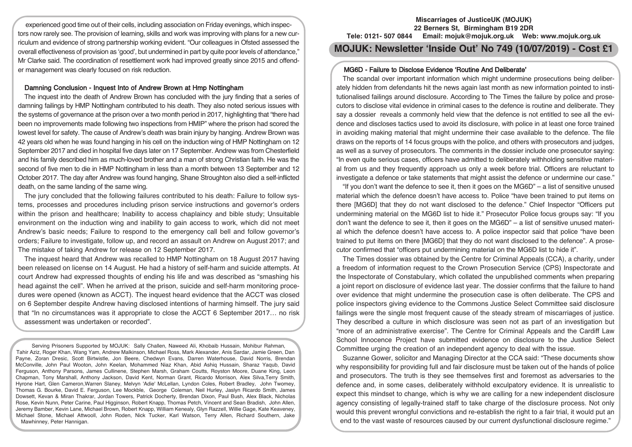experienced good time out of their cells, including association on Friday evenings, which inspectors now rarely see. The provision of learning, skills and work was improving with plans for a new curriculum and evidence of strong partnership working evident. "Our colleagues in Ofsted assessed the overall effectiveness of provision as 'good', but undermined in part by quite poor levels of attendance," Mr Clarke said. The coordination of resettlement work had improved greatly since 2015 and offender management was clearly focused on risk reduction.

## Damning Conclusion - Inquest Into of Andrew Brown at Hmp Nottingham

The inquest into the death of Andrew Brown has concluded with the jury finding that a series of damning failings by HMP Nottingham contributed to his death. They also noted serious issues with the systems of governance at the prison over a two month period in 2017, highlighting that "there had been no improvements made following two inspections from HMIP" where the prison had scored the lowest level for safety. The cause of Andrew's death was brain injury by hanging. Andrew Brown was 42 years old when he was found hanging in his cell on the induction wing of HMP Nottingham on 12 September 2017 and died in hospital five days later on 17 September. Andrew was from Chesterfield and his family described him as much-loved brother and a man of strong Christian faith. He was the second of five men to die in HMP Nottingham in less than a month between 13 September and 12 October 2017. The day after Andrew was found hanging, Shane Stroughton also died a self-inflicted death, on the same landing of the same wing.

The jury concluded that the following failures contributed to his death: Failure to follow systems, processes and procedures including prison service instructions and governor's orders within the prison and healthcare; Inability to access chaplaincy and bible study; Unsuitable environment on the induction wing and inability to gain access to work, which did not meet Andrew's basic needs; Failure to respond to the emergency call bell and follow governor's orders; Failure to investigate, follow up, and record an assault on Andrew on August 2017; and The mistake of taking Andrew for release on 12 September 2017.

The inquest heard that Andrew was recalled to HMP Nottingham on 18 August 2017 having been released on license on 14 August. He had a history of self-harm and suicide attempts. At court Andrew had expressed thoughts of ending his life and was described as "smashing his head against the cell". When he arrived at the prison, suicide and self-harm monitoring procedures were opened (known as ACCT). The inquest heard evidence that the ACCT was closed on 6 September despite Andrew having disclosed intentions of harming himself. The jury said that "In no circumstances was it appropriate to close the ACCT 6 September 2017… no risk assessment was undertaken or recorded".

Serving Prisoners Supported by MOJUK: Sally Challen, Naweed Ali, Khobaib Hussain, Mohibur Rahman, Tahir Aziz, Roger Khan, Wang Yam, Andrew Malkinson, Michael Ross, Mark Alexander, Anis Sardar, Jamie Green, Dan Payne, Zoran Dresic, Scott Birtwistle, Jon Beere, Chedwyn Evans, Darren Waterhouse, David Norris, Brendan McConville, John Paul Wooton, John Keelan, Mohammed Niaz Khan, Abid Ashiq Hussain, Sharaz Yaqub, David Ferguson, Anthony Parsons, James Cullinene, Stephen Marsh, Graham Coutts, Royston Moore, Duane King, Leon Chapman, Tony Marshall, Anthony Jackson, David Kent, Norman Grant, Ricardo Morrison, Alex Silva,Terry Smith, Hyrone Hart, Glen Cameron,Warren Slaney, Melvyn 'Adie' McLellan, Lyndon Coles, Robert Bradley, John Twomey, Thomas G. Bourke, David E. Ferguson, Lee Mockble, George Coleman, Neil Hurley, Jaslyn Ricardo Smith, James Dowsett, Kevan & Miran Thakrar, Jordan Towers, Patrick Docherty, Brendan Dixon, Paul Bush, Alex Black, Nicholas Rose, Kevin Nunn, Peter Carine, Paul Higginson, Robert Knapp, Thomas Petch, Vincent and Sean Bradish, John Allen, Jeremy Bamber, Kevin Lane, Michael Brown, Robert Knapp, William Kenealy, Glyn Razzell, Willie Gage, Kate Keaveney, Michael Stone, Michael Attwooll, John Roden, Nick Tucker, Karl Watson, Terry Allen, Richard Southern, Jake Mawhinney, Peter Hannigan.

### **Miscarriages of JusticeUK (MOJUK) 22 Berners St, Birmingham B19 2DR Tele: 0121- 507 0844 Email: mojuk@mojuk.org.uk Web: www.mojuk.org.uk**

# **MOJUK: Newsletter 'Inside Out' No 749 (10/07/2019) - Cost £1**

## MG6D - Failure to Disclose Evidence 'Routine And Deliberate'

The scandal over important information which might undermine prosecutions being deliberately hidden from defendants hit the news again last month as new information pointed to institutionalised failings around disclosure. According to The Times the failure by police and prosecutors to disclose vital evidence in criminal cases to the defence is routine and deliberate. They say a dossier reveals a commonly held view that the defence is not entitled to see all the evidence and discloses tactics used to avoid its disclosure, with police in at least one force trained in avoiding making material that might undermine their case available to the defence. The file draws on the reports of 14 focus groups with the police, and others with prosecutors and judges, as well as a survey of prosecutors. The comments in the dossier include one prosecutor saying: "In even quite serious cases, officers have admitted to deliberately withholding sensitive material from us and they frequently approach us only a week before trial. Officers are reluctant to investigate a defence or take statements that might assist the defence or undermine our case."

"If you don't want the defence to see it, then it goes on the MG6D" – a list of sensitive unused material which the defence doesn't have access to. Police "have been trained to put items on there [MG6D] that they do not want disclosed to the defence." Chief Inspector "Officers put undermining material on the MG6D list to hide it." Prosecutor Police focus groups say: "If you don't want the defence to see it, then it goes on the MG6D" – a list of sensitive unused material which the defence doesn't have access to. A police inspector said that police "have been trained to put items on there [MG6D] that they do not want disclosed to the defence". A prosecutor confirmed that "officers put undermining material on the MG6D list to hide it".

The Times dossier was obtained by the Centre for Criminal Appeals (CCA), a charity, under a freedom of information request to the Crown Prosecution Service (CPS) Inspectorate and the Inspectorate of Constabulary, which collated the unpublished comments when preparing a joint report on disclosure of evidence last year. The dossier confirms that the failure to hand over evidence that might undermine the prosecution case is often deliberate. The CPS and police inspectors giving evidence to the Commons Justice Select Committee said disclosure failings were the single most frequent cause of the steady stream of miscarriages of justice. They described a culture in which disclosure was seen not as part of an investigation but "more of an administrative exercise". The Centre for Criminal Appeals and the Cardiff Law School Innocence Project have submitted evidence on disclosure to the Justice Select Committee urging the creation of an independent agency to deal with the issue.

Suzanne Gower, solicitor and Managing Director at the CCA said: "These documents show why responsibility for providing full and fair disclosure must be taken out of the hands of police and prosecutors. The truth is they see themselves first and foremost as adversaries to the defence and, in some cases, deliberately withhold exculpatory evidence. It is unrealistic to expect this mindset to change, which is why we are calling for a new independent disclosure agency consisting of legally-trained staff to take charge of the disclosure process. Not only would this prevent wrongful convictions and re-establish the right to a fair trial, it would put an end to the vast waste of resources caused by our current dysfunctional disclosure regime."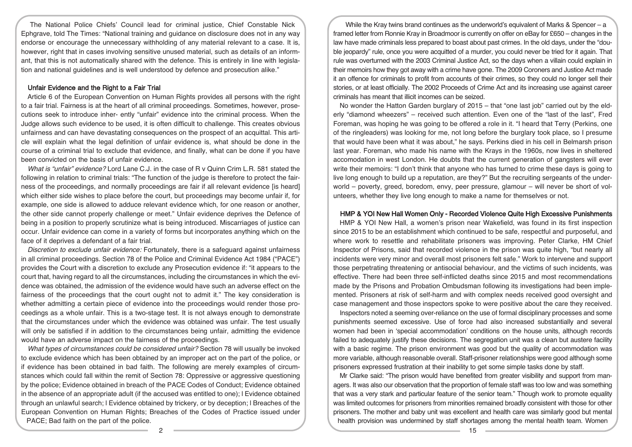The National Police Chiefs' Council lead for criminal justice, Chief Constable Nick Ephgrave, told The Times: "National training and guidance on disclosure does not in any way endorse or encourage the unnecessary withholding of any material relevant to a case. It is, however, right that in cases involving sensitive unused material, such as details of an informant, that this is not automatically shared with the defence. This is entirely in line with legislation and national guidelines and is well understood by defence and prosecution alike."

### Unfair Evidence and the Right to a Fair Trial

Article 6 of the European Convention on Human Rights provides all persons with the right to a fair trial. Fairness is at the heart of all criminal proceedings. Sometimes, however, prosecutions seek to introduce inher- ently "unfair" evidence into the criminal process. When the Judge allows such evidence to be used, it is often difficult to challenge. This creates obvious unfairness and can have devastating consequences on the prospect of an acquittal. This article will explain what the legal definition of unfair evidence is, what should be done in the course of a criminal trial to exclude that evidence, and finally, what can be done if you have been convicted on the basis of unfair evidence.

What is "unfair" evidence? Lord Lane C.J. in the case of R v Quinn Crim L.R. 581 stated the following in relation to criminal trials: "The function of the judge is therefore to protect the fairness of the proceedings, and normally proceedings are fair if all relevant evidence [is heard] which either side wishes to place before the court, but proceedings may become unfair if, for example, one side is allowed to adduce relevant evidence which, for one reason or another, the other side cannot properly challenge or meet." Unfair evidence deprives the Defence of being in a position to properly scrutinize what is being introduced. Miscarriages of justice can occur. Unfair evidence can come in a variety of forms but incorporates anything which on the face of it deprives a defendant of a fair trial.

Discretion to exclude unfair evidence: Fortunately, there is a safeguard against unfairness in all criminal proceedings. Section 78 of the Police and Criminal Evidence Act 1984 ("PACE") provides the Court with a discretion to exclude any Prosecution evidence if: "it appears to the court that, having regard to all the circumstances, including the circumstances in which the evidence was obtained, the admission of the evidence would have such an adverse effect on the fairness of the proceedings that the court ought not to admit it." The key consideration is whether admitting a certain piece of evidence into the proceedings would render those proceedings as a whole unfair. This is a two-stage test. It is not always enough to demonstrate that the circumstances under which the evidence was obtained was unfair. The test usually will only be satisfied if in addition to the circumstances being unfair, admitting the evidence would have an adverse impact on the fairness of the proceedings.

What types of circumstances could be considered unfair? Section 78 will usually be invoked to exclude evidence which has been obtained by an improper act on the part of the police, or if evidence has been obtained in bad faith. The following are merely examples of circumstances which could fall within the remit of Section 78: Oppressive or aggressive questioning by the police; Evidence obtained in breach of the PACE Codes of Conduct; Evidence obtained in the absence of an appropriate adult (if the accused was entitled to one); l Evidence obtained through an unlawful search; l Evidence obtained by trickery, or by deception; l Breaches of the European Convention on Human Rights; Breaches of the Codes of Practice issued under PACE; Bad faith on the part of the police.

While the Kray twins brand continues as the underworld's equivalent of Marks & Spencer – a framed letter from Ronnie Kray in Broadmoor is currently on offer on eBay for £650 – changes in the law have made criminals less prepared to boast about past crimes. In the old days, under the "double jeopardy" rule, once you were acquitted of a murder, you could never be tried for it again. That rule was overturned with the 2003 Criminal Justice Act, so the days when a villain could explain in their memoirs how they got away with a crime have gone. The 2009 Coroners and Justice Act made it an offence for criminals to profit from accounts of their crimes, so they could no longer sell their stories, or at least officially. The 2002 Proceeds of Crime Act and its increasing use against career criminals has meant that illicit incomes can be seized.

No wonder the Hatton Garden burglary of 2015 – that "one last job" carried out by the elderly "diamond wheezers" – received such attention. Even one of the "last of the last", Fred Foreman, was hoping he was going to be offered a role in it. "I heard that Terry (Perkins, one of the ringleaders) was looking for me, not long before the burglary took place, so I presume that would have been what it was about," he says. Perkins died in his cell in Belmarsh prison last year. Foreman, who made his name with the Krays in the 1960s, now lives in sheltered accomodation in west London. He doubts that the current generation of gangsters will ever write their memoirs: "I don't think that anyone who has turned to crime these days is going to live long enough to build up a reputation, are they?" But the recruiting sergeants of the underworld – poverty, greed, boredom, envy, peer pressure, glamour – will never be short of volunteers, whether they live long enough to make a name for themselves or not.

## HMP & YOI New Hall Women Only - Recorded Violence Quite High Excessive Punishments

HMP & YOI New Hall, a women's prison near Wakefield, was found in its first inspection since 2015 to be an establishment which continued to be safe, respectful and purposeful, and where work to resettle and rehabilitate prisoners was improving. Peter Clarke, HM Chief Inspector of Prisons, said that recorded violence in the prison was quite high, "but nearly all incidents were very minor and overall most prisoners felt safe." Work to intervene and support those perpetrating threatening or antisocial behaviour, and the victims of such incidents, was effective. There had been three self-inflicted deaths since 2015 and most recommendations made by the Prisons and Probation Ombudsman following its investigations had been implemented. Prisoners at risk of self-harm and with complex needs received good oversight and case management and those inspectors spoke to were positive about the care they received.

Inspectors noted a seeming over-reliance on the use of formal disciplinary processes and some punishments seemed excessive. Use of force had also increased substantially and several women had been in 'special accommodation' conditions on the house units, although records failed to adequately justify these decisions. The segregation unit was a clean but austere facility with a basic regime. The prison environment was good but the quality of accommodation was more variable, although reasonable overall. Staff-prisoner relationships were good although some prisoners expressed frustration at their inability to get some simple tasks done by staff.

Mr Clarke said: "The prison would have benefited from greater visibility and support from managers. It was also our observation that the proportion of female staff was too low and was something that was a very stark and particular feature of the senior team." Though work to promote equality was limited outcomes for prisoners from minorities remained broadly consistent with those for other prisoners. The mother and baby unit was excellent and health care was similarly good but mental health provision was undermined by staff shortages among the mental health team. Women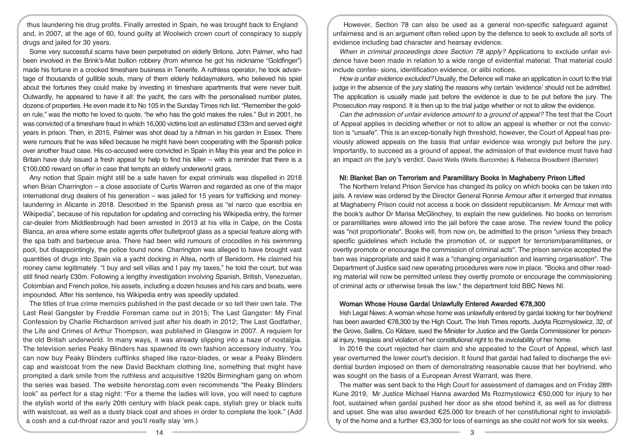thus laundering his drug profits. Finally arrested in Spain, he was brought back to England and, in 2007, at the age of 60, found guilty at Woolwich crown court of conspiracy to supply drugs and jailed for 30 years.

Some very successful scams have been perpetrated on elderly Britons. John Palmer, who had been involved in the Brink's-Mat bullion robbery (from whence he got his nickname "Goldfinger") made his fortune in a crooked timeshare business in Tenerife. A ruthless operator, he took advantage of thousands of gullible souls, many of them elderly holidaymakers, who believed his spiel about the fortunes they could make by investing in timeshare apartments that were never built. Outwardly, he appeared to have it all: the yacht, the cars with the personalised number plates, dozens of properties. He even made it to No 105 in the Sunday Times rich list. "Remember the golden rule," was the motto he loved to quote, "he who has the gold makes the rules." But in 2001, he was convicted of a timeshare fraud in which 16,000 victims lost an estimated £33m and served eight years in prison. Then, in 2015, Palmer was shot dead by a hitman in his garden in Essex. There were rumours that he was killed because he might have been cooperating with the Spanish police over another fraud case. His co-accused were convicted in Spain in May this year and the police in Britain have duly issued a fresh appeal for help to find his killer – with a reminder that there is a £100,000 reward on offer in case that tempts an elderly underworld grass.

Any notion that Spain might still be a safe haven for expat criminals was dispelled in 2018 when Brian Charrington – a close associate of Curtis Warren and regarded as one of the major international drug dealers of his generation – was jailed for 15 years for trafficking and moneylaundering in Alicante in 2018. Described in the Spanish press as "el narco que escribia en Wikipedia", because of his reputation for updating and correcting his Wikipedia entry, the former car-dealer from Middlesbrough had been arrested in 2013 at his villa in Calpe, on the Costa Blanca, an area where some estate agents offer bulletproof glass as a special feature along with the spa bath and barbecue area. There had been wild rumours of crocodiles in his swimming pool, but disappointingly, the police found none. Charrington was alleged to have brought vast quantities of drugs into Spain via a yacht docking in Altea, north of Benidorm. He claimed his money came legitimately. "I buy and sell villas and I pay my taxes," he told the court, but was still fined nearly £30m. Following a lengthy investigation involving Spanish, British, Venezuelan, Colombian and French police, his assets, including a dozen houses and his cars and boats, were impounded. After his sentence, his Wikipedia entry was speedily updated.

The titles of true crime memoirs published in the past decade or so tell their own tale. The Last Real Gangster by Freddie Foreman came out in 2015; The Last Gangster: My Final Confession by Charlie Richardson arrived just after his death in 2012; The Last Godfather, the Life and Crimes of Arthur Thompson, was published in Glasgow in 2007. A requiem for the old British underworld. In many ways, it was already slipping into a haze of nostalgia. The television series Peaky Blinders has spawned its own fashion accessory industry. You can now buy Peaky Blinders cufflinks shaped like razor-blades, or wear a Peaky Blinders cap and waistcoat from the new David Beckham clothing line, something that might have prompted a dark smile from the ruthless and acquisitive 1920s Birmingham gang on whom the series was based. The website henorstag.com even recommends "the Peaky Blinders look" as perfect for a stag night: "For a theme the ladies will love, you will need to capture the stylish world of the early 20th century with black peak caps, stylish grey or black suits with waistcoat, as well as a dusty black coat and shoes in order to complete the look." (Add a cosh and a cut-throat razor and you'll really slay 'em.)

However, Section 78 can also be used as a general non-specific safeguard against unfairness and is an argument often relied upon by the defence to seek to exclude all sorts of evidence including bad character and hearsay evidence.

When in criminal proceedings does Section 78 apply? Applications to exclude unfair evidence have been made in relation to a wide range of evidential material. That material could include confes- sions, identification evidence, or alibi notices.

How is unfair evidence excluded? Usually, the Defence will make an application in court to the trial judge in the absence of the jury stating the reasons why certain 'evidence' should not be admitted. The application is usually made just before the evidence is due to be put before the jury. The Prosecution may respond. It is then up to the trial judge whether or not to allow the evidence.

Can the admission of unfair evidence amount to <sup>a</sup> ground of appeal? The test that the Court of Appeal applies in deciding whether or not to allow an appeal is whether or not the conviction is "unsafe". This is an excep-tionally high threshold, however, the Court of Appeal has previously allowed appeals on the basis that unfair evidence was wrongly put before the jury. Importantly, to succeed as a ground of appeal, the admission of that evidence must have had an impact on the jury's verdict. David Wells (Wells Burcombe) & Rebecca Broadbent (Barrister)

## NI: Blanket Ban on Terrorism and Paramilitary Books In Maghaberry Prison Lifted

The Northern Ireland Prison Service has changed its policy on which books can be taken into jails. A review was ordered by the Director General Ronnie Armour after it emerged that inmates at Maghaberry Prison could not access a book on dissident republicanism. Mr Armour met with the book's author Dr Marisa McGlinchey, to explain the new guidelines. No books on terrorism or paramilitaries were allowed into the jail before the case arose. The review found the policy was "not proportionate". Books will, from now on, be admitted to the prison "unless they breach specific guidelines which include the promotion of, or support for terrorism/paramilitaries, or overtly promote or encourage the commission of criminal acts". The prison service accepted the ban was inappropriate and said it was a "changing organisation and learning organisation". The Department of Justice said new operating procedures were now in place. "Books and other reading material will now be permitted unless they overtly promote or encourage the commissioning of criminal acts or otherwise break the law," the department told BBC News NI.

#### Woman Whose House Gardaí Unlawfully Entered Awarded €78,300

Irish Legal News: A woman whose home was unlawfully entered by gardaí looking for her boyfriend has been awarded €78,300 by the High Court, The Irish Times reports. Judyta Rozmyslowicz, 32, of the Grove, Sallins, Co Kildare, sued the Minister for Justice and the Garda Commissioner for personal injury, trespass and violation of her constitutional right to the inviolability of her home.

In 2016 the court rejected her claim and she appealed to the Court of Appeal, which last year overturned the lower court's decision. It found that gardaí had failed to discharge the evidential burden imposed on them of demonstrating reasonable cause that her boyfriend, who was sought on the basis of a European Arrest Warrant, was there.

The matter was sent back to the High Court for assessment of damages and on Friday 28th Kune 2019, Mr Justice Michael Hanna awarded Ms Rozmyslowicz €50,000 for injury to her foot, sustained when gardaí pushed her door as she stood behind it, as well as for distress and upset. She was also awarded €25,000 for breach of her constitutional right to inviolability of the home and a further €3,300 for loss of earnings as she could not work for six weeks.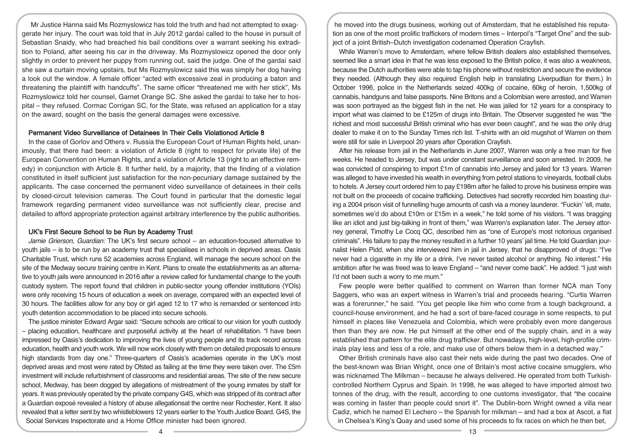Mr Justice Hanna said Ms Rozmyslowicz has told the truth and had not attempted to exaggerate her injury. The court was told that in July 2012 gardaí called to the house in pursuit of Sebastian Snaidy, who had breached his bail conditions over a warrant seeking his extradition to Poland, after seeing his car in the driveway. Ms Rozmyslowicz opened the door only slightly in order to prevent her puppy from running out, said the judge. One of the gardaí said she saw a curtain moving upstairs, but Ms Rozmyslowicz said this was simply her dog having a look out the window. A female officer "acted with excessive zeal in producing a baton and threatening the plaintiff with handcuffs". The same officer "threatened me with her stick", Ms Rozmyslowicz told her counsel, Garnet Orange SC. She asked the gardaí to take her to hospital – they refused. Cormac Corrigan SC, for the State, was refused an application for a stay on the award, sought on the basis the general damages were excessive.

## Permanent Video Surveillance of Detainees In Their Cells Violationod Article 8

In the case of Gorlov and Others v. Russia the European Court of Human Rights held, unanimously, that there had been: a violation of Article 8 (right to respect for private life) of the European Convention on Human Rights, and a violation of Article 13 (right to an effective remedy) in conjunction with Article 8. It further held, by a majority, that the finding of a violation constituted in itself sufficient just satisfaction for the non-pecuniary damage sustained by the applicants. The case concerned the permanent video surveillance of detainees in their cells by closed-circuit television cameras. The Court found in particular that the domestic legal framework regarding permanent video surveillance was not sufficiently clear, precise and detailed to afford appropriate protection against arbitrary interference by the public authorities.

#### UK's First Secure School to be Run by Academy Trust

Jamie Grierson, Guardian: The UK's first secure school – an education-focused alternative to youth jails – is to be run by an academy trust that specialises in schools in deprived areas. Oasis Charitable Trust, which runs 52 academies across England, will manage the secure school on the site of the Medway secure training centre in Kent. Plans to create the establishments as an alternative to youth jails were announced in 2016 after a review called for fundamental change to the youth custody system. The report found that children in public-sector young offender institutions (YOIs) were only receiving 15 hours of education a week on average, compared with an expected level of 30 hours. The facilities allow for any boy or girl aged 12 to 17 who is remanded or sentenced into youth detention accommodation to be placed into secure schools.

The justice minister Edward Argar said: "Secure schools are critical to our vision for youth custody – placing education, healthcare and purposeful activity at the heart of rehabilitation. "I have been impressed by Oasis's dedication to improving the lives of young people and its track record across education, health and youth work. We will now work closely with them on detailed proposals to ensure high standards from day one." Three-quarters of Oasis's academies operate in the UK's most deprived areas and most were rated by Ofsted as failing at the time they were taken over. The £5m investment will include refurbishment of classrooms and residential areas. The site of the new secure school. Medway, has been dogged by allegations of mistreatment of the young inmates by staff for years. It was previously operated by the private company G4S, which was stripped of its contract after a Guardian exposé revealed a history of abuse allegationsat the centre near Rochester, Kent. It also revealed that a letter sent by two whistleblowers 12 years earlier to the Youth Justice Board, G4S, the Social Services Inspectorate and a Home Office minister had been ignored.

he moved into the drugs business, working out of Amsterdam, that he established his reputation as one of the most prolific traffickers of modern times – Interpol's "Target One" and the subject of a joint British–Dutch investigation codenamed Operation Crayfish.

While Warren's move to Amsterdam, where fellow British dealers also established themselves, seemed like a smart idea in that he was less exposed to the British police, it was also a weakness, because the Dutch authorities were able to tap his phone without restriction and secure the evidence they needed. (Although they also required English help in translating Liverpudlian for them.) In October 1996, police in the Netherlands seized 400kg of cocaine, 60kg of heroin, 1,500kg of cannabis, handguns and false passports. Nine Britons and a Colombian were arrested, and Warren was soon portrayed as the biggest fish in the net. He was jailed for 12 years for a conspiracy to import what was claimed to be £125m of drugs into Britain. The Observer suggested he was "the richest and most successful British criminal who has ever been caught", and he was the only drug dealer to make it on to the Sunday Times rich list. T-shirts with an old mugshot of Warren on them were still for sale in Liverpool 20 years after Operation Crayfish.

After his release from jail in the Netherlands in June 2007, Warren was only a free man for five weeks. He headed to Jersey, but was under constant surveillance and soon arrested. In 2009, he was convicted of conspiring to import £1m of cannabis into Jersey and jailed for 13 years. Warren was alleged to have invested his wealth in everything from petrol stations to vineyards, football clubs to hotels. A Jersey court ordered him to pay £198m after he failed to prove his business empire was not built on the proceeds of cocaine trafficking. Detectives had secretly recorded him boasting during a 2004 prison visit of funnelling huge amounts of cash via a money launderer. "Fuckin' 'ell, mate, sometimes we'd do about £10m or £15m in a week," he told some of his visitors. "I was bragging like an idiot and just big-talking in front of them," was Warren's explanation later. The Jersey attorney general, Timothy Le Cocq QC, described him as "one of Europe's most notorious organised criminals". His failure to pay the money resulted in a further 10 years' jail time. He told Guardian journalist Helen Pidd, when she interviewed him in jail in Jersey, that he disapproved of drugs: "I've never had a cigarette in my life or a drink. I've never tasted alcohol or anything. No interest." His ambition after he was freed was to leave England – "and never come back". He added: "I just wish I'd not been such a worry to me mum."

Few people were better qualified to comment on Warren than former NCA man Tony Saggers, who was an expert witness in Warren's trial and proceeds hearing. "Curtis Warren was a forerunner," he said. "You get people like him who come from a tough background, a council-house environment, and he had a sort of bare-faced courage in some respects, to put himself in places like Venezuela and Colombia, which were probably even more dangerous then than they are now. He put himself at the other end of the supply chain, and in a way established that pattern for the elite drug trafficker. But nowadays, high-level, high-profile criminals play less and less of a role, and make use of others below them in a detached way."

Other British criminals have also cast their nets wide during the past two decades. One of the best-known was Brian Wright, once one of Britain's most active cocaine smugglers, who was nicknamed The Milkman – because he always delivered. He operated from both Turkishcontrolled Northern Cyprus and Spain. In 1998, he was alleged to have imported almost two tonnes of the drug, with the result, according to one customs investigator, that "the cocaine was coming in faster than people could snort it". The Dublin-born Wright owned a villa near Cadiz, which he named El Lechero – the Spanish for milkman – and had a box at Ascot, a flat in Chelsea's King's Quay and used some of his proceeds to fix races on which he then bet,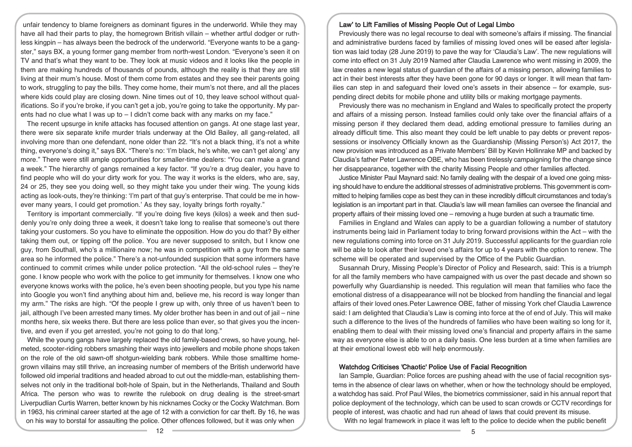unfair tendency to blame foreigners as dominant figures in the underworld. While they may have all had their parts to play, the homegrown British villain – whether artful dodger or ruthless kingpin – has always been the bedrock of the underworld. "Everyone wants to be a gangster," says BX, a young former gang member from north-west London. "Everyone's seen it on TV and that's what they want to be. They look at music videos and it looks like the people in them are making hundreds of thousands of pounds, although the reality is that they are still living at their mum's house. Most of them come from estates and they see their parents going to work, struggling to pay the bills. They come home, their mum's not there, and all the places where kids could play are closing down. Nine times out of 10, they leave school without qualifications. So if you're broke, if you can't get a job, you're going to take the opportunity. My parents had no clue what I was up to – I didn't come back with any marks on my face."

The recent upsurge in knife attacks has focused attention on gangs. At one stage last year, there were six separate knife murder trials underway at the Old Bailey, all gang-related, all involving more than one defendant, none older than 22. "It's not a black thing, it's not a white thing, everyone's doing it," says BX. "There's no: 'I'm black, he's white, we can't get along' any more." There were still ample opportunities for smaller-time dealers: "You can make a grand a week." The hierarchy of gangs remained a key factor. "If you're a drug dealer, you have to find people who will do your dirty work for you. The way it works is the elders, who are, say, 24 or 25, they see you doing well, so they might take you under their wing. The young kids acting as look-outs, they're thinking: 'I'm part of that guy's enterprise. That could be me in however many years, I could get promotion.' As they say, loyalty brings forth royalty."

Territory is important commercially. "If you're doing five keys (kilos) a week and then suddenly you're only doing three a week, it doesn't take long to realise that someone's out there taking your customers. So you have to eliminate the opposition. How do you do that? By either taking them out, or tipping off the police. You are never supposed to snitch, but I know one guy, from Southall, who's a millionaire now; he was in competition with a guy from the same area so he informed the police." There's a not-unfounded suspicion that some informers have continued to commit crimes while under police protection. "All the old-school rules – they're gone. I know people who work with the police to get immunity for themselves. I know one who everyone knows works with the police, he's even been shooting people, but you type his name into Google you won't find anything about him and, believe me, his record is way longer than my arm." The risks are high. "Of the people I grew up with, only three of us haven't been to jail, although I've been arrested many times. My older brother has been in and out of jail – nine months here, six weeks there. But there are less police than ever, so that gives you the incentive, and even if you get arrested, you're not going to do that long."

While the young gangs have largely replaced the old family-based crews, so have young, helmeted, scooter-riding robbers smashing their ways into jewellers and mobile phone shops taken on the role of the old sawn-off shotgun-wielding bank robbers. While those smalltime homegrown villains may still thrive, an increasing number of members of the British underworld have followed old imperial traditions and headed abroad to cut out the middle-man, establishing themselves not only in the traditional bolt-hole of Spain, but in the Netherlands, Thailand and South Africa. The person who was to rewrite the rulebook on drug dealing is the street-smart Liverpudlian Curtis Warren, better known by his nicknames Cocky or the Cocky Watchman. Born in 1963, his criminal career started at the age of 12 with a conviction for car theft. By 16, he was on his way to borstal for assaulting the police. Other offences followed, but it was only when

## Law' to Lift Families of Missing People Out of Legal Limbo

Previously there was no legal recourse to deal with someone's affairs if missing. The financial and administrative burdens faced by families of missing loved ones will be eased after legislation was laid today (28 June 2019) to pave the way for 'Claudia's Law'. The new regulations will come into effect on 31 July 2019 Named after Claudia Lawrence who went missing in 2009, the law creates a new legal status of guardian of the affairs of a missing person, allowing families to act in their best interests after they have been gone for 90 days or longer. It will mean that families can step in and safeguard their loved one's assets in their absence – for example, suspending direct debits for mobile phone and utility bills or making mortgage payments.

Previously there was no mechanism in England and Wales to specifically protect the property and affairs of a missing person. Instead families could only take over the financial affairs of a missing person if they declared them dead, adding emotional pressure to families during an already difficult time. This also meant they could be left unable to pay debts or prevent repossessions or insolvency Officially known as the Guardianship (Missing Person's) Act 2017, the new provision was introduced as a Private Members' Bill by Kevin Hollinrake MP and backed by Claudia's father Peter Lawrence OBE, who has been tirelessly campaigning for the change since her disappearance, together with the charity Missing People and other families affected.

Justice Minister Paul Maynard said: No family dealing with the despair of a loved one going missing should have to endure the additional stresses of administrative problems. This government is committed to helping families cope as best they can in these incredibly difficult circumstances and today's legislation is an important part in that. Claudia's law will mean families can oversee the financial and property affairs of their missing loved one – removing a huge burden at such a traumatic time.

Families in England and Wales can apply to be a guardian following a number of statutory instruments being laid in Parliament today to bring forward provisions within the Act – with the new regulations coming into force on 31 July 2019. Successful applicants for the guardian role will be able to look after their loved one's affairs for up to 4 years with the option to renew. The scheme will be operated and supervised by the Office of the Public Guardian.

Susannah Drury, Missing People's Director of Policy and Research, said: This is a triumph for all the family members who have campaigned with us over the past decade and shown so powerfully why Guardianship is needed. This regulation will mean that families who face the emotional distress of a disappearance will not be blocked from handling the financial and legal affairs of their loved ones.Peter Lawrence OBE, father of missing York chef Claudia Lawrence said: I am delighted that Claudia's Law is coming into force at the of end of July. This will make such a difference to the lives of the hundreds of families who have been waiting so long for it, enabling them to deal with their missing loved one's financial and property affairs in the same way as everyone else is able to on a daily basis. One less burden at a time when families are at their emotional lowest ebb will help enormously.

#### Watchdog Criticises 'Chaotic' Police Use of Facial Recognition

Ian Sample, Guardian: Police forces are pushing ahead with the use of facial recognition systems in the absence of clear laws on whether, when or how the technology should be employed, a watchdog has said. Prof Paul Wiles, the biometrics commissioner, said in his annual report that police deployment of the technology, which can be used to scan crowds or CCTV recordings for people of interest, was chaotic and had run ahead of laws that could prevent its misuse.

With no legal framework in place it was left to the police to decide when the public benefit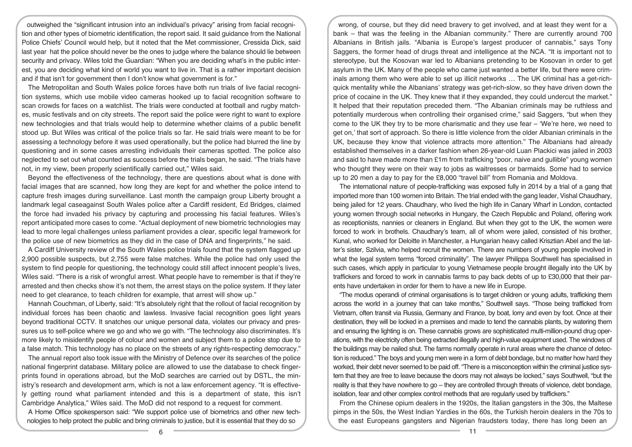outweighed the "significant intrusion into an individual's privacy" arising from facial recognition and other types of biometric identification, the report said. It said guidance from the National Police Chiefs' Council would help, but it noted that the Met commissioner, Cressida Dick, said last year hat the police should never be the ones to judge where the balance should lie between security and privacy. Wiles told the Guardian: "When you are deciding what's in the public interest, you are deciding what kind of world you want to live in. That is a rather important decision and if that isn't for government then I don't know what government is for."

The Metropolitan and South Wales police forces have both run trials of live facial recognition systems, which use mobile video cameras hooked up to facial recognition software to scan crowds for faces on a watchlist. The trials were conducted at football and rugby matches, music festivals and on city streets. The report said the police were right to want to explore new technologies and that trials would help to determine whether claims of a public benefit stood up. But Wiles was critical of the police trials so far. He said trials were meant to be for assessing a technology before it was used operationally, but the police had blurred the line by questioning and in some cases arresting individuals their cameras spotted. The police also neglected to set out what counted as success before the trials began, he said. "The trials have not, in my view, been properly scientifically carried out," Wiles said.

Beyond the effectiveness of the technology, there are questions about what is done with facial images that are scanned, how long they are kept for and whether the police intend to capture fresh images during surveillance. Last month the campaign group Liberty brought a landmark legal caseagainst South Wales police after a Cardiff resident, Ed Bridges, claimed the force had invaded his privacy by capturing and processing his facial features. Wiles's report anticipated more cases to come. "Actual deployment of new biometric technologies may lead to more legal challenges unless parliament provides a clear, specific legal framework for the police use of new biometrics as they did in the case of DNA and fingerprints," he said.

A Cardiff University review of the South Wales police trials found that the system flagged up 2,900 possible suspects, but 2,755 were false matches. While the police had only used the system to find people for questioning, the technology could still affect innocent people's lives, Wiles said. "There is a risk of wrongful arrest. What people have to remember is that if they're arrested and then checks show it's not them, the arrest stays on the police system. If they later need to get clearance, to teach children for example, that arrest will show up."

Hannah Couchman, of Liberty, said: "It's absolutely right that the rollout of facial recognition by individual forces has been chaotic and lawless. Invasive facial recognition goes light years beyond traditional CCTV. It snatches our unique personal data, violates our privacy and pressures us to self-police where we go and who we go with. "The technology also discriminates. It's more likely to misidentify people of colour and women and subject them to a police stop due to a false match. This technology has no place on the streets of any rights-respecting democracy."

The annual report also took issue with the Ministry of Defence over its searches of the police national fingerprint database. Military police are allowed to use the database to check fingerprints found in operations abroad, but the MoD searches are carried out by DSTL, the ministry's research and development arm, which is not a law enforcement agency. "It is effectively getting round what parliament intended and this is a department of state, this isn't Cambridge Analytica," Wiles said. The MoD did not respond to a request for comment.

A Home Office spokesperson said: "We support police use of biometrics and other new technologies to help protect the public and bring criminals to justice, but it is essential that they do so

wrong, of course, but they did need bravery to get involved, and at least they went for a bank – that was the feeling in the Albanian community." There are currently around 700 Albanians in British jails. "Albania is Europe's largest producer of cannabis," says Tony Saggers, the former head of drugs threat and intelligence at the NCA. "It is important not to stereotype, but the Kosovan war led to Albanians pretending to be Kosovan in order to get asylum in the UK. Many of the people who came just wanted a better life, but there were criminals among them who were able to set up illicit networks … The UK criminal has a get-richquick mentality while the Albanians' strategy was get-rich-slow, so they have driven down the price of cocaine in the UK. They knew that if they expanded, they could undercut the market." It helped that their reputation preceded them. "The Albanian criminals may be ruthless and potentially murderous when controlling their organised crime," said Saggers, "but when they come to the UK they try to be more charismatic and they use fear – 'We're here, we need to get on,' that sort of approach. So there is little violence from the older Albanian criminals in the UK, because they know that violence attracts more attention." The Albanians had already established themselves in a darker fashion when 26-year-old Luan Plackici was jailed in 2003 and said to have made more than £1m from trafficking "poor, naive and gullible" young women who thought they were on their way to jobs as waitresses or barmaids. Some had to service up to 20 men a day to pay for the £8,000 "travel bill" from Romania and Moldova.

The international nature of people-trafficking was exposed fully in 2014 by a trial of a gang that imported more than 100 women into Britain. The trial ended with the gang leader, Vishal Chaudhary, being jailed for 12 years. Chaudhary, who lived the high life in Canary Wharf in London, contacted young women through social networks in Hungary, the Czech Republic and Poland, offering work as receptionists, nannies or cleaners in England. But when they got to the UK, the women were forced to work in brothels. Chaudhary's team, all of whom were jailed, consisted of his brother, Kunal, who worked for Deloitte in Manchester, a Hungarian heavy called Krisztian Abel and the latter's sister, Szilvia, who helped recruit the women. There are numbers of young people involved in what the legal system terms "forced criminality". The lawyer Philippa Southwell has specialised in such cases, which apply in particular to young Vietnamese people brought illegally into the UK by traffickers and forced to work in cannabis farms to pay back debts of up to £30,000 that their parents have undertaken in order for them to have a new life in Europe.

"The modus operandi of criminal organisations is to target children or young adults, trafficking them across the world in a journey that can take months," Southwell says. "Those being trafficked from Vietnam, often transit via Russia, Germany and France, by boat, lorry and even by foot. Once at their destination, they will be locked in a premises and made to tend the cannabis plants, by watering them and ensuring the lighting is on. These cannabis grows are sophisticated multi-million-pound drug operations, with the electricity often being extracted illegally and high-value equipment used. The windows of the buildings may be nailed shut. The farms normally operate in rural areas where the chance of detection is reduced." The boys and young men were in a form of debt bondage, but no matter how hard they worked, their debt never seemed to be paid off. "There is a misconception within the criminal justice system that they are free to leave because the doors may not always be locked," says Southwell, "but the reality is that they have nowhere to go – they are controlled through threats of violence, debt bondage, isolation, fear and other complex control methods that are regularly used by traffickers."

From the Chinese opium dealers in the 1920s, the Italian gangsters in the 30s, the Maltese pimps in the 50s, the West Indian Yardies in the 60s, the Turkish heroin dealers in the 70s to the east Europeans gangsters and Nigerian fraudsters today, there has long been an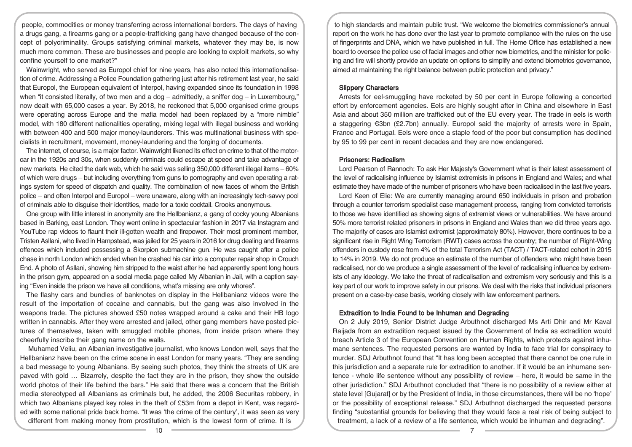people, commodities or money transferring across international borders. The days of having a drugs gang, a firearms gang or a people-trafficking gang have changed because of the concept of polycriminality. Groups satisfying criminal markets, whatever they may be, is now much more common. These are businesses and people are looking to exploit markets, so why confine yourself to one market?"

Wainwright, who served as Europol chief for nine years, has also noted this internationalisation of crime. Addressing a Police Foundation gathering just after his retirement last year, he said that Europol, the European equivalent of Interpol, having expanded since its foundation in 1998 when "it consisted literally, of two men and a dog – admittedly, a sniffer dog – in Luxembourg," now dealt with 65,000 cases a year. By 2018, he reckoned that 5,000 organised crime groups were operating across Europe and the mafia model had been replaced by a "more nimble" model, with 180 different nationalities operating, mixing legal with illegal business and working with between 400 and 500 major money-launderers. This was multinational business with specialists in recruitment, movement, money-laundering and the forging of documents.

The internet, of course, is a major factor. Wainwright likened its effect on crime to that of the motorcar in the 1920s and 30s, when suddenly criminals could escape at speed and take advantage of new markets. He cited the dark web, which he said was selling 350,000 different illegal items – 60% of which were drugs – but including everything from guns to pornography and even operating a ratings system for speed of dispatch and quality. The combination of new faces of whom the British police – and often Interpol and Europol – were unaware, along with an increasingly tech-savvy pool of criminals able to disguise their identities, made for a toxic cocktail. Crooks anonymous.

One group with little interest in anonymity are the Hellbanianz, a gang of cocky young Albanians based in Barking, east London. They went online in spectacular fashion in 2017 via Instagram and YouTube rap videos to flaunt their ill-gotten wealth and firepower. Their most prominent member, Tristen Asllani, who lived in Hampstead, was jailed for 25 years in 2016 for drug dealing and firearms offences which included possessing a Škorpion submachine gun. He was caught after a police chase in north London which ended when he crashed his car into a computer repair shop in Crouch End. A photo of Asllani, showing him stripped to the waist after he had apparently spent long hours in the prison gym, appeared on a social media page called My Albanian in Jail, with a caption saying "Even inside the prison we have all conditions, what's missing are only whores".

The flashy cars and bundles of banknotes on display in the Hellbanianz videos were the result of the importation of cocaine and cannabis, but the gang was also involved in the weapons trade. The pictures showed £50 notes wrapped around a cake and their HB logo written in cannabis. After they were arrested and jailed, other gang members have posted pictures of themselves, taken with smuggled mobile phones, from inside prison where they cheerfully inscribe their gang name on the walls.

Muhamed Veliu, an Albanian investigative journalist, who knows London well, says that the Hellbanianz have been on the crime scene in east London for many years. "They are sending a bad message to young Albanians. By seeing such photos, they think the streets of UK are paved with gold … Bizarrely, despite the fact they are in the prison, they show the outside world photos of their life behind the bars." He said that there was a concern that the British media stereotyped all Albanians as criminals but, he added, the 2006 Securitas robbery, in which two Albanians played key roles in the theft of £53m from a depot in Kent, was regarded with some national pride back home. "It was 'the crime of the century', it was seen as very different from making money from prostitution, which is the lowest form of crime. It is

to high standards and maintain public trust. "We welcome the biometrics commissioner's annual report on the work he has done over the last year to promote compliance with the rules on the use of fingerprints and DNA, which we have published in full. The Home Office has established a new board to oversee the police use of facial images and other new biometrics, and the minister for policing and fire will shortly provide an update on options to simplify and extend biometrics governance, aimed at maintaining the right balance between public protection and privacy."

## Slippery Characters

Arrests for eel-smuggling have rocketed by 50 per cent in Europe following a concerted effort by enforcement agencies. Eels are highly sought after in China and elsewhere in East Asia and about 350 million are trafficked out of the EU every year. The trade in eels is worth a staggering €3bn (£2.7bn) annually. Europol said the majority of arrests were in Spain, France and Portugal. Eels were once a staple food of the poor but consumption has declined by 95 to 99 per cent in recent decades and they are now endangered.

### Prisoners: Radicalism

Lord Pearson of Rannoch: To ask Her Majesty's Government what is their latest assessment of the level of radicalising influence by Islamist extremists in prisons in England and Wales; and what estimate they have made of the number of prisoners who have been radicalised in the last five years.

Lord Keen of Elie: We are currently managing around 650 individuals in prison and probation through a counter terrorism specialist case management process, ranging from convicted terrorists to those we have identified as showing signs of extremist views or vulnerabilities. We have around 50% more terrorist related prisoners in prisons in England and Wales than we did three years ago. The majority of cases are Islamist extremist (approximately 80%). However, there continues to be a significant rise in Right Wing Terrorism (RWT) cases across the country; the number of Right-Wing offenders in custody rose from 4% of the total Terrorism Act (TACT) / TACT-related cohort in 2015 to 14% in 2019. We do not produce an estimate of the number of offenders who might have been radicalised, nor do we produce a single assessment of the level of radicalising influence by extremists of any ideology. We take the threat of radicalisation and extremism very seriously and this is a key part of our work to improve safety in our prisons. We deal with the risks that individual prisoners present on a case-by-case basis, working closely with law enforcement partners.

#### Extradition to India Found to be Inhuman and Degrading

On 2 July 2019, Senior District Judge Arbuthnot discharged Ms Arti Dhir and Mr Kaval Raijada from an extradition request issued by the Government of India as extradition would breach Article 3 of the European Convention on Human Rights, which protects against inhumane sentences. The requested persons are wanted by India to face trial for conspiracy to murder. SDJ Arbuthnot found that "It has long been accepted that there cannot be one rule in this jurisdiction and a separate rule for extradition to another. If it would be an inhumane sentence - whole life sentence without any possibility of review – here, it would be same in the other jurisdiction." SDJ Arbuthnot concluded that "there is no possibility of a review either at state level [Gujarat] or by the President of India, in those circumstances, there will be no 'hope' or the possibility of exceptional release." SDJ Arbuthnot discharged the requested persons finding "substantial grounds for believing that they would face a real risk of being subject to treatment, a lack of a review of a life sentence, which would be inhuman and degrading".